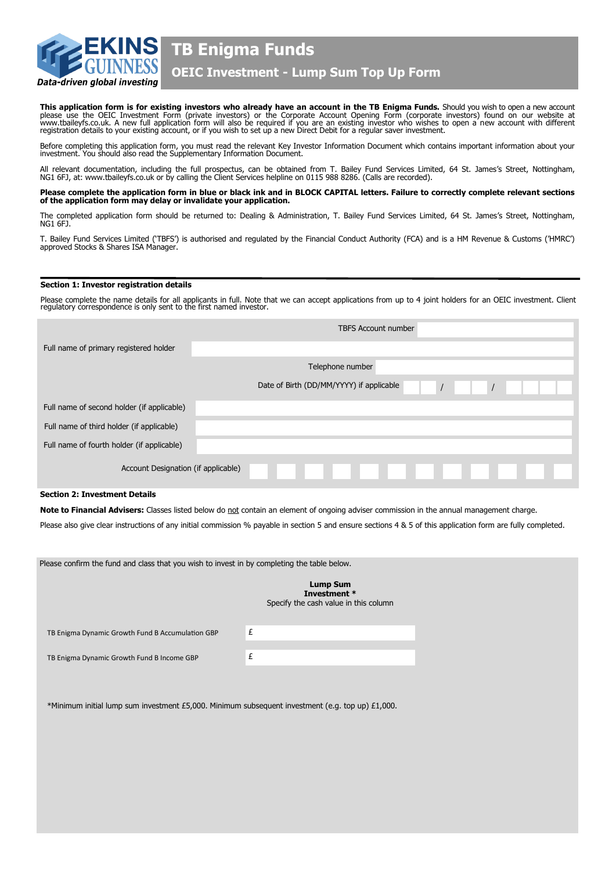

**TB Enigma Funds**

# **OEIC Investment - Lump Sum Top Up Form**

This application form is for existing investors who already have an account in the TB Enigma Funds. Should you wish to open a new account please use the OEIC Investment Form (private investors) or the Corporate Account Opening Form (corporate investors) found on our website at<br>www.tbaileyfs.co.uk. A new full application form will also be required if you are

Before completing this application form, you must read the relevant Key Investor Information Document which contains important information about your<br>investment. You should also read the Supplementary Information Document.

All relevant documentation, including the full prospectus, can be obtained from T. Bailey Fund Services Limited, 64 St. James's Street, Nottingham,<br>NG1 6FJ, at: www.tbaileyfs.co.uk or by calling the Client Services helplin

**Please complete the application form in blue or black ink and in BLOCK CAPITAL letters. Failure to correctly complete relevant sections of the application form may delay or invalidate your application.** 

The completed application form should be returned to: Dealing & Administration, T. Bailey Fund Services Limited, 64 St. James's Street, Nottingham, NG1 6FJ.

T. Bailey Fund Services Limited ('TBFS') is authorised and regulated by the Financial Conduct Authority (FCA) and is a HM Revenue & Customs ('HMRC') approved Stocks & Shares ISA Manager.

#### **Section 1: Investor registration details**

Please complete the name details for all applicants in full. Note that we can accept applications from up to 4 joint holders for an OEIC investment. Client regulatory correspondence is only sent to the first named investor.

|                                            | <b>TBFS Account number</b> |  |                                          |                  |  |  |  |  |  |          |  |  |
|--------------------------------------------|----------------------------|--|------------------------------------------|------------------|--|--|--|--|--|----------|--|--|
| Full name of primary registered holder     |                            |  |                                          |                  |  |  |  |  |  |          |  |  |
|                                            |                            |  |                                          | Telephone number |  |  |  |  |  |          |  |  |
|                                            |                            |  | Date of Birth (DD/MM/YYYY) if applicable |                  |  |  |  |  |  | $\prime$ |  |  |
| Full name of second holder (if applicable) |                            |  |                                          |                  |  |  |  |  |  |          |  |  |
| Full name of third holder (if applicable)  |                            |  |                                          |                  |  |  |  |  |  |          |  |  |
| Full name of fourth holder (if applicable) |                            |  |                                          |                  |  |  |  |  |  |          |  |  |
| Account Designation (if applicable)        |                            |  |                                          |                  |  |  |  |  |  |          |  |  |

# **Section 2: Investment Details**

Note to Financial Advisers: Classes listed below do not contain an element of ongoing adviser commission in the annual management charge.

Please also give clear instructions of any initial commission % payable in section 5 and ensure sections 4 & 5 of this application form are fully completed.

| Please confirm the fund and class that you wish to invest in by completing the table below.      |                                                                          |
|--------------------------------------------------------------------------------------------------|--------------------------------------------------------------------------|
|                                                                                                  | <b>Lump Sum</b><br>Investment *<br>Specify the cash value in this column |
| TB Enigma Dynamic Growth Fund B Accumulation GBP                                                 | £                                                                        |
| TB Enigma Dynamic Growth Fund B Income GBP                                                       | £                                                                        |
|                                                                                                  |                                                                          |
| *Minimum initial lump sum investment £5,000. Minimum subsequent investment (e.g. top up) £1,000. |                                                                          |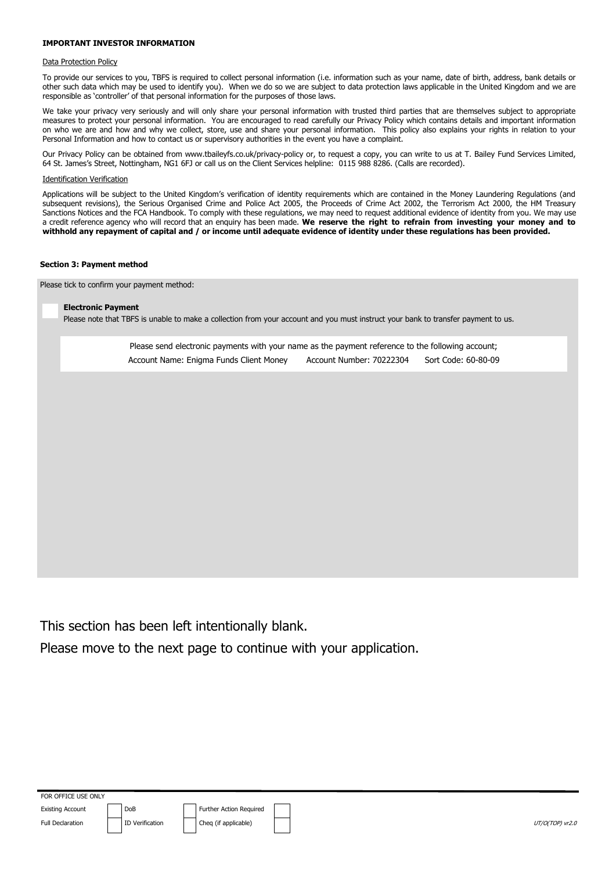## **IMPORTANT INVESTOR INFORMATION**

#### Data Protection Policy

To provide our services to you, TBFS is required to collect personal information (i.e. information such as your name, date of birth, address, bank details or other such data which may be used to identify you). When we do so we are subject to data protection laws applicable in the United Kingdom and we are responsible as 'controller' of that personal information for the purposes of those laws.

We take your privacy very seriously and will only share your personal information with trusted third parties that are themselves subject to appropriate measures to protect your personal information. You are encouraged to read carefully our Privacy Policy which contains details and important information on who we are and how and why we collect, store, use and share your personal information. This policy also explains your rights in relation to your Personal Information and how to contact us or supervisory authorities in the event you have a complaint.

Our Privacy Policy can be obtained from www.tbaileyfs.co.uk/privacy-policy or, to request a copy, you can write to us at T. Bailey Fund Services Limited, 64 St. James's Street, Nottingham, NG1 6FJ or call us on the Client Services helpline: 0115 988 8286. (Calls are recorded).

# Identification Verification

Applications will be subject to the United Kingdom's verification of identity requirements which are contained in the Money Laundering Regulations (and subsequent revisions), the Serious Organised Crime and Police Act 2005, the Proceeds of Crime Act 2002, the Terrorism Act 2000, the HM Treasury Sanctions Notices and the FCA Handbook. To comply with these regulations, we may need to request additional evidence of identity from you. We may use a credit reference agency who will record that an enquiry has been made. **We reserve the right to refrain from investing your money and to withhold any repayment of capital and / or income until adequate evidence of identity under these regulations has been provided.**

#### **Section 3: Payment method**

Please tick to confirm your payment method:

#### **Electronic Payment**

Please note that TBFS is unable to make a collection from your account and you must instruct your bank to transfer payment to us.

Please send electronic payments with your name as the payment reference to the following account; Account Name: Enigma Funds Client Money Account Number: 70222304 Sort Code: 60-80-09

This section has been left intentionally blank.

Please move to the next page to continue with your application.

FOR OFFICE USE ONLY Existing Account **DoB DoB** Further Action Required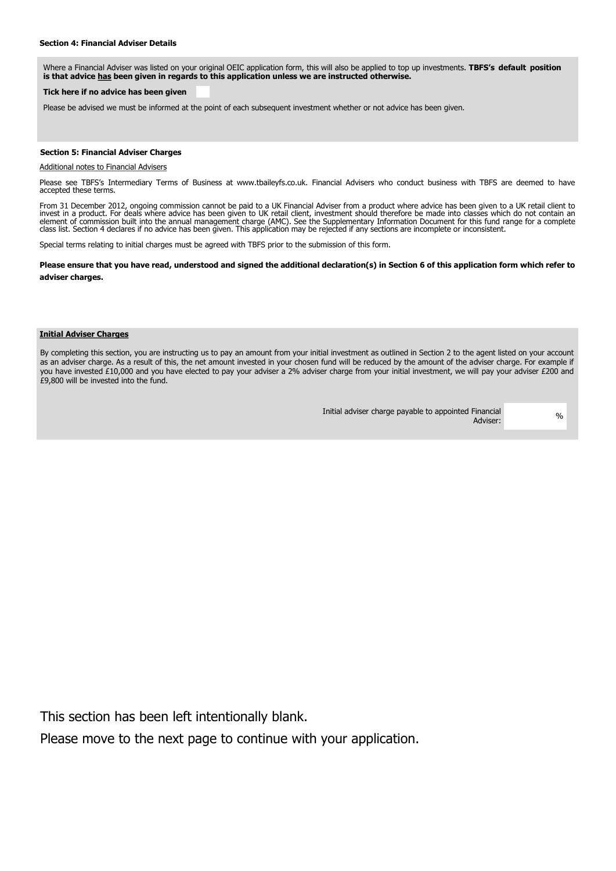Where a Financial Adviser was listed on your original OEIC application form, this will also be applied to top up investments. **TBFS's default position is that advice has been given in regards to this application unless we are instructed otherwise.** 

#### **Tick here if no advice has been given**

Please be advised we must be informed at the point of each subsequent investment whether or not advice has been given.

# **Section 5: Financial Adviser Charges**

#### Additional notes to Financial Advisers

Please see TBFS's Intermediary Terms of Business at www.tbaileyfs.co.uk. Financial Advisers who conduct business with TBFS are deemed to have accepted these terms.

 From 31 December 2012, ongoing commission cannot be paid to a UK Financial Adviser from a product where advice has been given to a UK retail client to invest in a product. For deals where advice has been given to UK retail client, investment should therefore be made into classes which do not contain an<br>element of commission built into the annual management charge (AMC).

Special terms relating to initial charges must be agreed with TBFS prior to the submission of this form.

**Please ensure that you have read, understood and signed the additional declaration(s) in Section 6 of this application form which refer to adviser charges.**

#### **Initial Adviser Charges**

By completing this section, you are instructing us to pay an amount from your initial investment as outlined in Section 2 to the agent listed on your account as an adviser charge. As a result of this, the net amount invested in your chosen fund will be reduced by the amount of the adviser charge. For example if you have invested £10,000 and you have elected to pay your adviser a 2% adviser charge from your initial investment, we will pay your adviser £200 and £9,800 will be invested into the fund.

> Initial adviser charge payable to appointed Financial Adviser: %

This section has been left intentionally blank.

Please move to the next page to continue with your application.